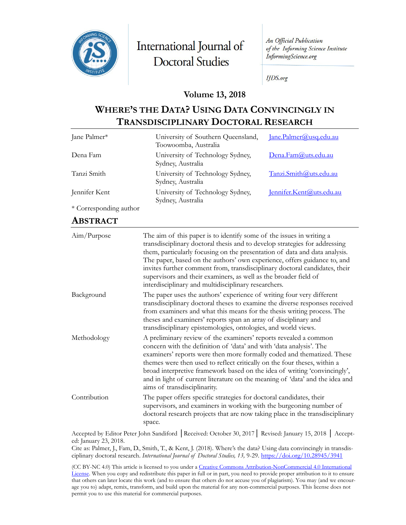

International Journal of **Doctoral Studies** 

An Official Publication of the Informing Science Institute InformingScience.org

**IJDS.org** 

### **Volume 13, 2018**

# **WHERE'S THE DATA? USING DATA CONVINCINGLY IN TRANSDISCIPLINARY DOCTORAL RESEARCH**

| Jane Palmer*           | University of Southern Queensland,<br>Toowoomba, Australia | Jane.Palmer@usq.edu.au   |
|------------------------|------------------------------------------------------------|--------------------------|
| Dena Fam               | University of Technology Sydney,<br>Sydney, Australia      | Dena.Fam@uts.edu.au      |
| Tanzi Smith            | University of Technology Sydney,<br>Sydney, Australia      | Tanzi.Smith@uts.edu.au   |
| Jennifer Kent          | University of Technology Sydney,<br>Sydney, Australia      | Jennifer.Kent@uts.edu.au |
| * Corresponding author |                                                            |                          |

# **ABSTRACT**

| Aim/Purpose  | The aim of this paper is to identify some of the issues in writing a<br>transdisciplinary doctoral thesis and to develop strategies for addressing<br>them, particularly focusing on the presentation of data and data analysis.<br>The paper, based on the authors' own experience, offers guidance to, and<br>invites further comment from, transdisciplinary doctoral candidates, their<br>supervisors and their examiners, as well as the broader field of<br>interdisciplinary and multidisciplinary researchers. |
|--------------|------------------------------------------------------------------------------------------------------------------------------------------------------------------------------------------------------------------------------------------------------------------------------------------------------------------------------------------------------------------------------------------------------------------------------------------------------------------------------------------------------------------------|
| Background   | The paper uses the authors' experience of writing four very different<br>transdisciplinary doctoral theses to examine the diverse responses received<br>from examiners and what this means for the thesis writing process. The<br>theses and examiners' reports span an array of disciplinary and<br>transdisciplinary epistemologies, ontologies, and world views.                                                                                                                                                    |
| Methodology  | A preliminary review of the examiners' reports revealed a common<br>concern with the definition of 'data' and with 'data analysis'. The<br>examiners' reports were then more formally coded and thematized. These<br>themes were then used to reflect critically on the four theses, within a<br>broad interpretive framework based on the idea of writing 'convincingly',<br>and in light of current literature on the meaning of 'data' and the idea and<br>aims of transdisciplinarity.                             |
| Contribution | The paper offers specific strategies for doctoral candidates, their<br>supervisors, and examiners in working with the burgeoning number of<br>doctoral research projects that are now taking place in the transdisciplinary<br>space.                                                                                                                                                                                                                                                                                  |

Accepted by Editor Peter John Sandiford │Received: October 30, 2017│ Revised: January 15, 2018 │ Accepted: January 23, 2018.

Cite as: Palmer, J., Fam, D., Smith, T., & Kent, J. (2018). Where's the data? Using data convincingly in transdisciplinary doctoral research. *International Journal of Doctoral Studies, 13,* 9-29.<https://doi.org/10.28945/3941>

(CC BY-NC 4.0) This article is licensed to you under a Creative Commons Attribution-[NonCommercial 4.0 International](https://creativecommons.org/licenses/by-nc/4.0/)  [License](https://creativecommons.org/licenses/by-nc/4.0/). When you copy and redistribute this paper in full or in part, you need to provide proper attribution to it to ensure that others can later locate this work (and to ensure that others do not accuse you of plagiarism). You may (and we encourage you to) adapt, remix, transform, and build upon the material for any non-commercial purposes. This license does not permit you to use this material for commercial purposes.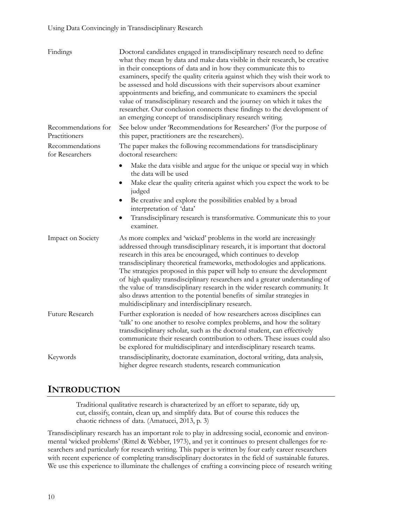| Findings                             | Doctoral candidates engaged in transdisciplinary research need to define<br>what they mean by data and make data visible in their research, be creative<br>in their conceptions of data and in how they communicate this to<br>examiners, specify the quality criteria against which they wish their work to<br>be assessed and hold discussions with their supervisors about examiner<br>appointments and briefing, and communicate to examiners the special<br>value of transdisciplinary research and the journey on which it takes the<br>researcher. Our conclusion connects these findings to the development of<br>an emerging concept of transdisciplinary research writing. |
|--------------------------------------|--------------------------------------------------------------------------------------------------------------------------------------------------------------------------------------------------------------------------------------------------------------------------------------------------------------------------------------------------------------------------------------------------------------------------------------------------------------------------------------------------------------------------------------------------------------------------------------------------------------------------------------------------------------------------------------|
| Recommendations for<br>Practitioners | See below under 'Recommendations for Researchers' (For the purpose of<br>this paper, practitioners are the researchers).                                                                                                                                                                                                                                                                                                                                                                                                                                                                                                                                                             |
| Recommendations<br>for Researchers   | The paper makes the following recommendations for transdisciplinary<br>doctoral researchers:                                                                                                                                                                                                                                                                                                                                                                                                                                                                                                                                                                                         |
|                                      | Make the data visible and argue for the unique or special way in which<br>the data will be used<br>Make clear the quality criteria against which you expect the work to be<br>judged<br>Be creative and explore the possibilities enabled by a broad<br>interpretation of 'data'<br>Transdisciplinary research is transformative. Communicate this to your<br>examiner.                                                                                                                                                                                                                                                                                                              |
| Impact on Society                    | As more complex and 'wicked' problems in the world are increasingly<br>addressed through transdisciplinary research, it is important that doctoral<br>research in this area be encouraged, which continues to develop<br>transdisciplinary theoretical frameworks, methodologies and applications.<br>The strategies proposed in this paper will help to ensure the development<br>of high quality transdisciplinary researchers and a greater understanding of<br>the value of transdisciplinary research in the wider research community. It<br>also draws attention to the potential benefits of similar strategies in<br>multidisciplinary and interdisciplinary research.       |
| Future Research                      | Further exploration is needed of how researchers across disciplines can<br>'talk' to one another to resolve complex problems, and how the solitary<br>transdisciplinary scholar, such as the doctoral student, can effectively<br>communicate their research contribution to others. These issues could also<br>be explored for multidisciplinary and interdisciplinary research teams.                                                                                                                                                                                                                                                                                              |
| Keywords                             | transdisciplinarity, doctorate examination, doctoral writing, data analysis,<br>higher degree research students, research communication                                                                                                                                                                                                                                                                                                                                                                                                                                                                                                                                              |

# **INTRODUCTION**

Traditional qualitative research is characterized by an effort to separate, tidy up, cut, classify, contain, clean up, and simplify data. But of course this reduces the chaotic richness of data. (Amatucci, 2013, p. 3)

Transdisciplinary research has an important role to play in addressing social, economic and environmental 'wicked problems' (Rittel & Webber, 1973), and yet it continues to present challenges for researchers and particularly for research writing. This paper is written by four early career researchers with recent experience of completing transdisciplinary doctorates in the field of sustainable futures. We use this experience to illuminate the challenges of crafting a convincing piece of research writing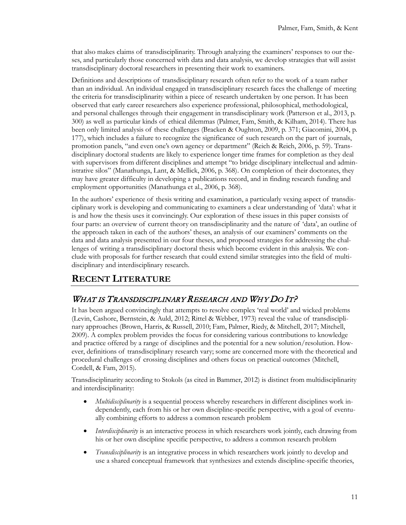that also makes claims of transdisciplinarity. Through analyzing the examiners' responses to our theses, and particularly those concerned with data and data analysis, we develop strategies that will assist transdisciplinary doctoral researchers in presenting their work to examiners.

Definitions and descriptions of transdisciplinary research often refer to the work of a team rather than an individual. An individual engaged in transdisciplinary research faces the challenge of meeting the criteria for transdisciplinarity within a piece of research undertaken by one person. It has been observed that early career researchers also experience professional, philosophical, methodological, and personal challenges through their engagement in transdisciplinary work (Patterson et al., 2013, p. 300) as well as particular kinds of ethical dilemmas (Palmer, Fam, Smith, & Kilham, 2014). There has been only limited analysis of these challenges (Bracken & Oughton, 2009, p. 371; Giacomini, 2004, p. 177), which includes a failure to recognize the significance of such research on the part of journals, promotion panels, "and even one's own agency or department" (Reich & Reich, 2006, p. 59). Transdisciplinary doctoral students are likely to experience longer time frames for completion as they deal with supervisors from different disciplines and attempt "to bridge disciplinary intellectual and administrative silos" (Manathunga, Lant, & Mellick, 2006, p. 368). On completion of their doctorates, they may have greater difficulty in developing a publications record, and in finding research funding and employment opportunities (Manathunga et al., 2006, p. 368).

In the authors' experience of thesis writing and examination, a particularly vexing aspect of transdisciplinary work is developing and communicating to examiners a clear understanding of 'data': what it is and how the thesis uses it convincingly. Our exploration of these issues in this paper consists of four parts: an overview of current theory on transdisciplinarity and the nature of 'data', an outline of the approach taken in each of the authors' theses, an analysis of our examiners' comments on the data and data analysis presented in our four theses, and proposed strategies for addressing the challenges of writing a transdisciplinary doctoral thesis which become evident in this analysis. We conclude with proposals for further research that could extend similar strategies into the field of multidisciplinary and interdisciplinary research.

# **RECENT LITERATURE**

### WHAT IS TRANSDISCIPLINARY RESEARCH AND WHY DO IT?

It has been argued convincingly that attempts to resolve complex 'real world' and wicked problems (Levin, Cashore, Bernstein, & Auld, 2012; Rittel & Webber, 1973) reveal the value of transdisciplinary approaches (Brown, Harris, & Russell, 2010; Fam, Palmer, Riedy, & Mitchell, 2017; Mitchell, 2009). A complex problem provides the focus for considering various contributions to knowledge and practice offered by a range of disciplines and the potential for a new solution/resolution. However, definitions of transdisciplinary research vary; some are concerned more with the theoretical and procedural challenges of crossing disciplines and others focus on practical outcomes (Mitchell, Cordell, & Fam, 2015).

Transdisciplinarity according to Stokols (as cited in Bammer, 2012) is distinct from multidisciplinarity and interdisciplinarity:

- *Multidisciplinarity* is a sequential process whereby researchers in different disciplines work independently, each from his or her own discipline-specific perspective, with a goal of eventually combining efforts to address a common research problem
- *Interdisciplinarity* is an interactive process in which researchers work jointly, each drawing from his or her own discipline specific perspective, to address a common research problem
- *Transdisciplinarity* is an integrative process in which researchers work jointly to develop and use a shared conceptual framework that synthesizes and extends discipline-specific theories,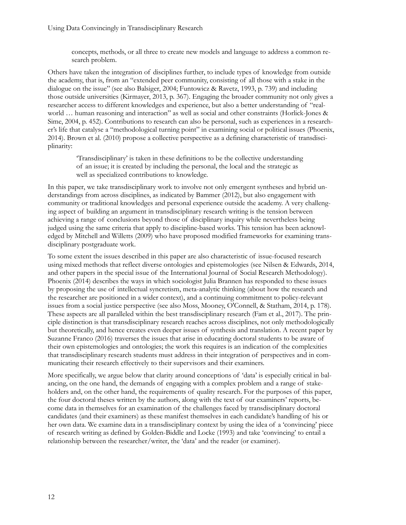concepts, methods, or all three to create new models and language to address a common research problem.

Others have taken the integration of disciplines further, to include types of knowledge from outside the academy, that is, from an "extended peer community, consisting of all those with a stake in the dialogue on the issue" (see also Balsiger, 2004; Funtowicz & Ravetz, 1993, p. 739) and including those outside universities (Kirmayer, 2013, p. 367). Engaging the broader community not only gives a researcher access to different knowledges and experience, but also a better understanding of "realworld … human reasoning and interaction" as well as social and other constraints (Horlick-Jones & Sime, 2004, p. 452). Contributions to research can also be personal, such as experiences in a researcher's life that catalyse a "methodological turning point" in examining social or political issues (Phoenix, 2014). Brown et al. (2010) propose a collective perspective as a defining characteristic of transdisciplinarity:

'Transdisciplinary' is taken in these definitions to be the collective understanding of an issue; it is created by including the personal, the local and the strategic as well as specialized contributions to knowledge.

In this paper, we take transdisciplinary work to involve not only emergent syntheses and hybrid understandings from across disciplines, as indicated by Bammer (2012), but also engagement with community or traditional knowledges and personal experience outside the academy. A very challenging aspect of building an argument in transdisciplinary research writing is the tension between achieving a range of conclusions beyond those of disciplinary inquiry while nevertheless being judged using the same criteria that apply to discipline-based works. This tension has been acknowledged by Mitchell and Willetts (2009) who have proposed modified frameworks for examining transdisciplinary postgraduate work.

To some extent the issues described in this paper are also characteristic of issue-focused research using mixed methods that reflect diverse ontologies and epistemologies (see Nilsen & Edwards, 2014, and other papers in the special issue of the International Journal of Social Research Methodology). Phoenix (2014) describes the ways in which sociologist Julia Brannen has responded to these issues by proposing the use of intellectual syncretism, meta-analytic thinking (about how the research and the researcher are positioned in a wider context), and a continuing commitment to policy-relevant issues from a social justice perspective (see also Moss, Mooney, O'Connell, & Statham, 2014, p. 178). These aspects are all paralleled within the best transdisciplinary research (Fam et al., 2017). The principle distinction is that transdisciplinary research reaches across disciplines, not only methodologically but theoretically, and hence creates even deeper issues of synthesis and translation. A recent paper by Suzanne Franco (2016) traverses the issues that arise in educating doctoral students to be aware of their own epistemologies and ontologies; the work this requires is an indication of the complexities that transdisciplinary research students must address in their integration of perspectives and in communicating their research effectively to their supervisors and their examiners.

More specifically, we argue below that clarity around conceptions of 'data' is especially critical in balancing, on the one hand, the demands of engaging with a complex problem and a range of stakeholders and, on the other hand, the requirements of quality research. For the purposes of this paper, the four doctoral theses written by the authors, along with the text of our examiners' reports, become data in themselves for an examination of the challenges faced by transdisciplinary doctoral candidates (and their examiners) as these manifest themselves in each candidate's handling of his or her own data. We examine data in a transdisciplinary context by using the idea of a 'convincing' piece of research writing as defined by Golden-Biddle and Locke (1993) and take 'convincing' to entail a relationship between the researcher/writer, the 'data' and the reader (or examiner).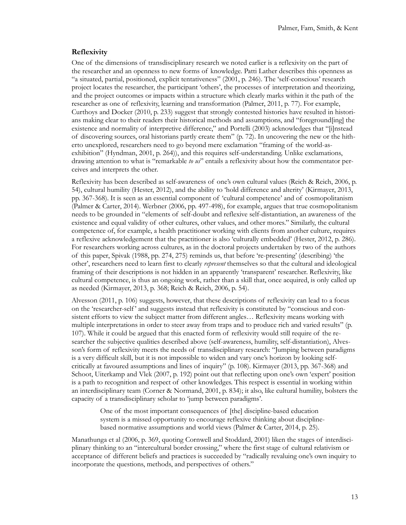#### **Reflexivity**

One of the dimensions of transdisciplinary research we noted earlier is a reflexivity on the part of the researcher and an openness to new forms of knowledge. Patti Lather describes this openness as "a situated, partial, positioned, explicit tentativeness" (2001, p. 246). The 'self-conscious' research project locates the researcher, the participant 'others', the processes of interpretation and theorizing, and the project outcomes or impacts within a structure which clearly marks within it the path of the researcher as one of reflexivity, learning and transformation (Palmer, 2011, p. 77). For example, Curthoys and Docker (2010, p. 233) suggest that strongly contested histories have resulted in historians making clear to their readers their historical methods and assumptions, and "foreground[ing] the existence and normality of interpretive difference," and Portelli (2003) acknowledges that "[i]nstead of discovering sources, oral historians partly create them" (p. 72). In uncovering the new or the hitherto unexplored, researchers need to go beyond mere exclamation "framing of the world-asexhibition" (Hyndman, 2001, p. 264)), and this requires self-understanding. Unlike exclamations, drawing attention to what is "remarkable *to us*" entails a reflexivity about how the commentator perceives and interprets the other.

Reflexivity has been described as self-awareness of one's own cultural values (Reich & Reich, 2006, p. 54), cultural humility (Hester, 2012), and the ability to 'hold difference and alterity' (Kirmayer, 2013, pp. 367-368). It is seen as an essential component of 'cultural competence' and of cosmopolitanism (Palmer & Carter, 2014). Werbner (2006, pp. 497-498), for example, argues that true cosmopolitanism needs to be grounded in "elements of self-doubt and reflexive self-distantiation, an awareness of the existence and equal validity of other cultures, other values, and other mores." Similarly, the cultural competence of, for example, a health practitioner working with clients from another culture, requires a reflexive acknowledgement that the practitioner is also 'culturally embedded' (Hester, 2012, p. 286). For researchers working across cultures, as in the doctoral projects undertaken by two of the authors of this paper, Spivak (1988, pp. 274, 275) reminds us, that before 're-presenting' (describing) 'the other', researchers need to learn first to clearly *represent* themselves so that the cultural and ideological framing of their descriptions is not hidden in an apparently 'transparent' researcher. Reflexivity, like cultural competence, is thus an ongoing work, rather than a skill that, once acquired, is only called up as needed (Kirmayer, 2013, p. 368; Reich & Reich, 2006, p. 54).

Alvesson (2011, p. 106) suggests, however, that these descriptions of reflexivity can lead to a focus on the 'researcher-self ' and suggests instead that reflexivity is constituted by "conscious and consistent efforts to view the subject matter from different angles… Reflexivity means working with multiple interpretations in order to steer away from traps and to produce rich and varied results" (p. 107). While it could be argued that this enacted form of reflexivity would still require of the researcher the subjective qualities described above (self-awareness, humility, self-distantiation), Alvesson's form of reflexivity meets the needs of transdisciplinary research: "Jumping between paradigms is a very difficult skill, but it is not impossible to widen and vary one's horizon by looking selfcritically at favoured assumptions and lines of inquiry" (p. 108). Kirmayer (2013, pp. 367-368) and Schoot, Uiterkamp and Vlek (2007, p. 192) point out that reflecting upon one's own 'expert' position is a path to recognition and respect of other knowledges. This respect is essential in working within an interdisciplinary team (Corner & Normand, 2001, p. 834); it also, like cultural humility, bolsters the capacity of a transdisciplinary scholar to 'jump between paradigms'.

One of the most important consequences of [the] discipline-based education system is a missed opportunity to encourage reflexive thinking about disciplinebased normative assumptions and world views (Palmer & Carter, 2014, p. 25).

Manathunga et al (2006, p. 369, quoting Cornwell and Stoddard, 2001) liken the stages of interdisciplinary thinking to an "intercultural border crossing," where the first stage of cultural relativism or acceptance of different beliefs and practices is succeeded by "radically revaluing one's own inquiry to incorporate the questions, methods, and perspectives of others."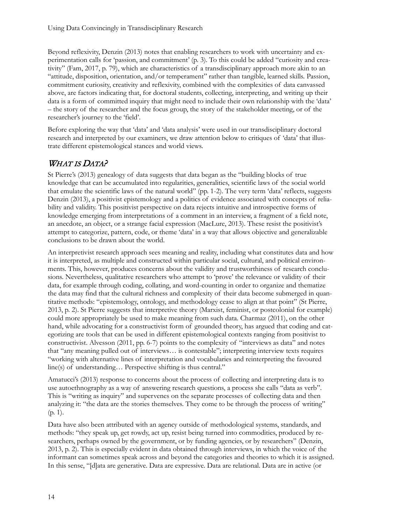Beyond reflexivity, Denzin (2013) notes that enabling researchers to work with uncertainty and experimentation calls for 'passion, and commitment' (p. 3). To this could be added "curiosity and creativity" (Fam, 2017, p. 79), which are characteristics of a transdisciplinary approach more akin to an "attitude, disposition, orientation, and/or temperament" rather than tangible, learned skills. Passion, commitment curiosity, creativity and reflexivity, combined with the complexities of data canvassed above, are factors indicating that, for doctoral students, collecting, interpreting, and writing up their data is a form of committed inquiry that might need to include their own relationship with the 'data' – the story of the researcher and the focus group, the story of the stakeholder meeting, or of the researcher's journey to the 'field'.

Before exploring the way that 'data' and 'data analysis' were used in our transdisciplinary doctoral research and interpreted by our examiners, we draw attention below to critiques of 'data' that illustrate different epistemological stances and world views.

### WHAT IS DATA?

St Pierre's (2013) genealogy of data suggests that data began as the "building blocks of true knowledge that can be accumulated into regularities, generalities, scientific laws of the social world that emulate the scientific laws of the natural world" (pp. 1-2). The very term 'data' reflects, suggests Denzin (2013), a positivist epistemology and a politics of evidence associated with concepts of reliability and validity. This positivist perspective on data rejects intuitive and introspective forms of knowledge emerging from interpretations of a comment in an interview, a fragment of a field note, an anecdote, an object, or a strange facial expression (MacLure, 2013). These resist the positivist's attempt to categorize, pattern, code, or theme 'data' in a way that allows objective and generalizable conclusions to be drawn about the world.

An interpretivist research approach sees meaning and reality, including what constitutes data and how it is interpreted, as multiple and constructed within particular social, cultural, and political environments. This, however, produces concerns about the validity and trustworthiness of research conclusions. Nevertheless, qualitative researchers who attempt to 'prove' the relevance or validity of their data, for example through coding, collating, and word-counting in order to organize and thematize the data may find that the cultural richness and complexity of their data become submerged in quantitative methods: "epistemology, ontology, and methodology cease to align at that point" (St Pierre, 2013, p. 2). St Pierre suggests that interpretive theory (Marxist, feminist, or postcolonial for example) could more appropriately be used to make meaning from such data. Charmaz (2011), on the other hand, while advocating for a constructivist form of grounded theory, has argued that coding and categorizing are tools that can be used in different epistemological contexts ranging from positivist to constructivist. Alvesson (2011, pp. 6-7) points to the complexity of "interviews as data" and notes that "any meaning pulled out of interviews… is contestable"; interpreting interview texts requires "working with alternative lines of interpretation and vocabularies and reinterpreting the favoured line(s) of understanding… Perspective shifting is thus central."

Amatucci's (2013) response to concerns about the process of collecting and interpreting data is to use autoethnography as a way of answering research questions, a process she calls "data as verb". This is "writing as inquiry" and supervenes on the separate processes of collecting data and then analyzing it: "the data are the stories themselves. They come to be through the process of writing" (p. 1).

Data have also been attributed with an agency outside of methodological systems, standards, and methods: "they speak up, get rowdy, act up, resist being turned into commodities, produced by researchers, perhaps owned by the government, or by funding agencies, or by researchers" (Denzin, 2013, p. 2). This is especially evident in data obtained through interviews, in which the voice of the informant can sometimes speak across and beyond the categories and theories to which it is assigned. In this sense, "[d]ata are generative. Data are expressive. Data are relational. Data are in active (or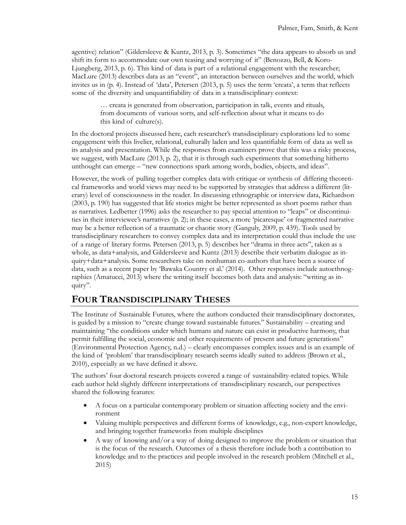agentive) relation" (Gildersleeve & Kuntz, 2013, p. 3). Sometimes "the data appears to absorb us and shift its form to accommodate our own teasing and worrying of it" (Benozzo, Bell, & Koro-Ljungberg, 2013, p. 6). This kind of data is part of a relational engagement with the researcher; MacLure (2013) describes data as an "event", an interaction between ourselves and the world, which invites us in (p. 4). Instead of 'data', Petersen (2013, p. 5) uses the term 'creata', a term that reflects some of the diversity and unquantifiability of data in a transdisciplinary context:

… creata is generated from observation, participation in talk, events and rituals, from documents of various sorts, and self-reflection about what it means to do this kind of culture(s).

In the doctoral projects discussed here, each researcher's transdisciplinary explorations led to some engagement with this livelier, relational, culturally laden and less quantifiable form of data as well as its analysis and presentation. While the responses from examiners prove that this was a risky process, we suggest, with MacLure (2013, p. 2), that it is through such experiments that something hitherto unthought can emerge – "new connections spark among words, bodies, objects, and ideas".

However, the work of pulling together complex data with critique or synthesis of differing theoretical frameworks and world views may need to be supported by strategies that address a different (literary) level of consciousness in the reader. In discussing ethnographic or interview data, Richardson (2003, p. 190) has suggested that life stories might be better represented as short poems rather than as narratives. Ledbetter (1996) asks the researcher to pay special attention to "leaps" or discontinuities in their interviewee's narratives (p. 2); in these cases, a more 'picaresque' or fragmented narrative may be a better reflection of a traumatic or chaotic story (Ganguly, 2009, p. 439). Tools used by transdisciplinary researchers to convey complex data and its interpretation could thus include the use of a range of literary forms. Petersen (2013, p. 5) describes her "drama in three acts", taken as a whole, as data+analysis, and Gildersleeve and Kuntz (2013) describe their verbatim dialogue as inquiry+data+analysis. Some researchers take on nonhuman co-authors that have been a source of data, such as a recent paper by 'Bawaka Country et al.' (2014). Other responses include autoethnographies (Amatucci, 2013) where the writing itself becomes both data and analysis: "writing as inquiry".

### **FOUR TRANSDISCIPLINARY THESES**

The Institute of Sustainable Futures, where the authors conducted their transdisciplinary doctorates, is guided by a mission to "create change toward sustainable futures." Sustainability – creating and maintaining "the conditions under which humans and nature can exist in productive harmony, that permit fulfilling the social, economic and other requirements of present and future generations" (Environmental Protection Agency, n.d.) – clearly encompasses complex issues and is an example of the kind of 'problem' that transdisciplinary research seems ideally suited to address (Brown et al., 2010), especially as we have defined it above.

The authors' four doctoral research projects covered a range of sustainability-related topics. While each author held slightly different interpretations of transdisciplinary research, our perspectives shared the following features:

- A focus on a particular contemporary problem or situation affecting society and the environment
- Valuing multiple perspectives and different forms of knowledge, e.g., non-expert knowledge, and bringing together frameworks from multiple disciplines
- A way of knowing and/or a way of doing designed to improve the problem or situation that is the focus of the research. Outcomes of a thesis therefore include both a contribution to knowledge and to the practices and people involved in the research problem (Mitchell et al., 2015)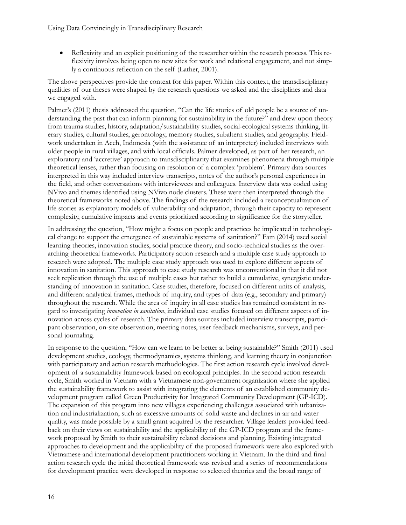• Reflexivity and an explicit positioning of the researcher within the research process. This reflexivity involves being open to new sites for work and relational engagement, and not simply a continuous reflection on the self (Lather, 2001).

The above perspectives provide the context for this paper. Within this context, the transdisciplinary qualities of our theses were shaped by the research questions we asked and the disciplines and data we engaged with.

Palmer's (2011) thesis addressed the question, "Can the life stories of old people be a source of understanding the past that can inform planning for sustainability in the future?" and drew upon theory from trauma studies, history, adaptation/sustainability studies, social-ecological systems thinking, literary studies, cultural studies, gerontology, memory studies, subaltern studies, and geography. Fieldwork undertaken in Aceh, Indonesia (with the assistance of an interpreter) included interviews with older people in rural villages, and with local officials. Palmer developed, as part of her research, an exploratory and 'accretive' approach to transdisciplinarity that examines phenomena through multiple theoretical lenses, rather than focusing on resolution of a complex 'problem'. Primary data sources interpreted in this way included interview transcripts, notes of the author's personal experiences in the field, and other conversations with interviewees and colleagues. Interview data was coded using NVivo and themes identified using NVivo node clusters. These were then interpreted through the theoretical frameworks noted above. The findings of the research included a reconceptualization of life stories as explanatory models of vulnerability and adaptation, through their capacity to represent complexity, cumulative impacts and events prioritized according to significance for the storyteller.

In addressing the question, "How might a focus on people and practices be implicated in technological change to support the emergence of sustainable systems of sanitation?" Fam (2014) used social learning theories, innovation studies, social practice theory, and socio-technical studies as the overarching theoretical frameworks. Participatory action research and a multiple case study approach to research were adopted. The multiple case study approach was used to explore different aspects of innovation in sanitation. This approach to case study research was unconventional in that it did not seek replication through the use of multiple cases but rather to build a cumulative, synergistic understanding of innovation in sanitation. Case studies, therefore, focused on different units of analysis, and different analytical frames, methods of inquiry, and types of data (e.g., secondary and primary) throughout the research. While the area of inquiry in all case studies has remained consistent in regard to investigating *innovation in sanitation*, individual case studies focused on different aspects of innovation across cycles of research. The primary data sources included interview transcripts, participant observation, on-site observation, meeting notes, user feedback mechanisms, surveys, and personal journaling.

In response to the question, "How can we learn to be better at being sustainable?" Smith (2011) used development studies, ecology, thermodynamics, systems thinking, and learning theory in conjunction with participatory and action research methodologies. The first action research cycle involved development of a sustainability framework based on ecological principles. In the second action research cycle, Smith worked in Vietnam with a Vietnamese non-government organization where she applied the sustainability framework to assist with integrating the elements of an established community development program called Green Productivity for Integrated Community Development (GP-ICD). The expansion of this program into new villages experiencing challenges associated with urbanization and industrialization, such as excessive amounts of solid waste and declines in air and water quality, was made possible by a small grant acquired by the researcher. Village leaders provided feedback on their views on sustainability and the applicability of the GP-ICD program and the framework proposed by Smith to their sustainability related decisions and planning. Existing integrated approaches to development and the applicability of the proposed framework were also explored with Vietnamese and international development practitioners working in Vietnam. In the third and final action research cycle the initial theoretical framework was revised and a series of recommendations for development practice were developed in response to selected theories and the broad range of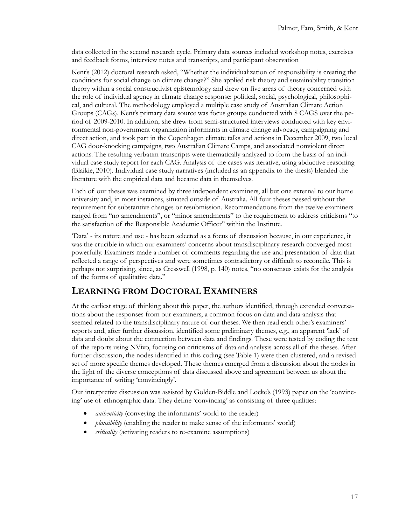data collected in the second research cycle. Primary data sources included workshop notes, exercises and feedback forms, interview notes and transcripts, and participant observation

Kent's (2012) doctoral research asked, "Whether the individualization of responsibility is creating the conditions for social change on climate change?" She applied risk theory and sustainability transition theory within a social constructivist epistemology and drew on five areas of theory concerned with the role of individual agency in climate change response: political, social, psychological, philosophical, and cultural. The methodology employed a multiple case study of Australian Climate Action Groups (CAGs). Kent's primary data source was focus groups conducted with 8 CAGS over the period of 2009-2010. In addition, she drew from semi-structured interviews conducted with key environmental non-government organization informants in climate change advocacy, campaigning and direct action, and took part in the Copenhagen climate talks and actions in December 2009, two local CAG door-knocking campaigns, two Australian Climate Camps, and associated nonviolent direct actions. The resulting verbatim transcripts were thematically analyzed to form the basis of an individual case study report for each CAG. Analysis of the cases was iterative, using abductive reasoning (Blaikie, 2010). Individual case study narratives (included as an appendix to the thesis) blended the literature with the empirical data and became data in themselves.

Each of our theses was examined by three independent examiners, all but one external to our home university and, in most instances, situated outside of Australia. All four theses passed without the requirement for substantive changes or resubmission. Recommendations from the twelve examiners ranged from "no amendments", or "minor amendments" to the requirement to address criticisms "to the satisfaction of the Responsible Academic Officer" within the Institute.

'Data' - its nature and use - has been selected as a focus of discussion because, in our experience, it was the crucible in which our examiners' concerns about transdisciplinary research converged most powerfully. Examiners made a number of comments regarding the use and presentation of data that reflected a range of perspectives and were sometimes contradictory or difficult to reconcile. This is perhaps not surprising, since, as Cresswell (1998, p. 140) notes, "no consensus exists for the analysis of the forms of qualitative data."

# **LEARNING FROM DOCTORAL EXAMINERS**

At the earliest stage of thinking about this paper, the authors identified, through extended conversations about the responses from our examiners, a common focus on data and data analysis that seemed related to the transdisciplinary nature of our theses. We then read each other's examiners' reports and, after further discussion, identified some preliminary themes, e.g., an apparent 'lack' of data and doubt about the connection between data and findings. These were tested by coding the text of the reports using NVivo, focusing on criticisms of data and analysis across all of the theses. After further discussion, the nodes identified in this coding (see Table 1) were then clustered, and a revised set of more specific themes developed. These themes emerged from a discussion about the nodes in the light of the diverse conceptions of data discussed above and agreement between us about the importance of writing 'convincingly'.

Our interpretive discussion was assisted by Golden-Biddle and Locke's (1993) paper on the 'convincing' use of ethnographic data. They define 'convincing' as consisting of three qualities:

- *authenticity* (conveying the informants' world to the reader)
- *plausibility* (enabling the reader to make sense of the informants' world)
- *criticality* (activating readers to re-examine assumptions)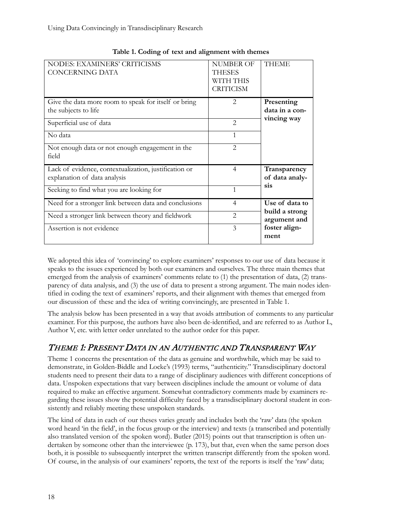| NODES: EXAMINERS' CRITICISMS<br><b>CONCERNING DATA</b>                                | <b>NUMBER OF</b><br><b>THESES</b><br>WITH THIS<br><b>CRITICISM</b> | <b>THEME</b>                   |  |
|---------------------------------------------------------------------------------------|--------------------------------------------------------------------|--------------------------------|--|
| Give the data more room to speak for itself or bring<br>the subjects to life          | $\mathfrak{D}$                                                     | Presenting<br>data in a con-   |  |
| Superficial use of data                                                               | $\mathfrak{D}_{\mathfrak{p}}$                                      | vincing way                    |  |
| No data                                                                               | 1                                                                  |                                |  |
| Not enough data or not enough engagement in the<br>field                              | $\mathfrak{D}_{\mathfrak{p}}$                                      |                                |  |
| Lack of evidence, contextualization, justification or<br>explanation of data analysis | 4                                                                  | Transparency<br>of data analy- |  |
| Seeking to find what you are looking for                                              | 1                                                                  | sis                            |  |
| Need for a stronger link between data and conclusions                                 | 4                                                                  | Use of data to                 |  |
| Need a stronger link between theory and fieldwork                                     | $\mathfrak{D}$                                                     | build a strong<br>argument and |  |
| Assertion is not evidence                                                             | 3                                                                  | foster align-<br>ment          |  |

**Table 1. Coding of text and alignment with themes**

We adopted this idea of 'convincing' to explore examiners' responses to our use of data because it speaks to the issues experienced by both our examiners and ourselves. The three main themes that emerged from the analysis of examiners' comments relate to (1) the presentation of data, (2) transparency of data analysis, and (3) the use of data to present a strong argument. The main nodes identified in coding the text of examiners' reports, and their alignment with themes that emerged from our discussion of these and the idea of writing convincingly, are presented in Table 1.

The analysis below has been presented in a way that avoids attribution of comments to any particular examiner. For this purpose, the authors have also been de-identified, and are referred to as Author L, Author V, etc. with letter order unrelated to the author order for this paper.

# THEME 1: PRESENT DATA IN AN AUTHENTIC AND TRANSPARENT WAY

Theme 1 concerns the presentation of the data as genuine and worthwhile, which may be said to demonstrate, in Golden-Biddle and Locke's (1993) terms, "authenticity." Transdisciplinary doctoral students need to present their data to a range of disciplinary audiences with different conceptions of data. Unspoken expectations that vary between disciplines include the amount or volume of data required to make an effective argument. Somewhat contradictory comments made by examiners regarding these issues show the potential difficulty faced by a transdisciplinary doctoral student in consistently and reliably meeting these unspoken standards.

The kind of data in each of our theses varies greatly and includes both the 'raw' data (the spoken word heard 'in the field', in the focus group or the interview) and texts (a transcribed and potentially also translated version of the spoken word). Butler (2015) points out that transcription is often undertaken by someone other than the interviewee (p. 173), but that, even when the same person does both, it is possible to subsequently interpret the written transcript differently from the spoken word. Of course, in the analysis of our examiners' reports, the text of the reports is itself the 'raw' data;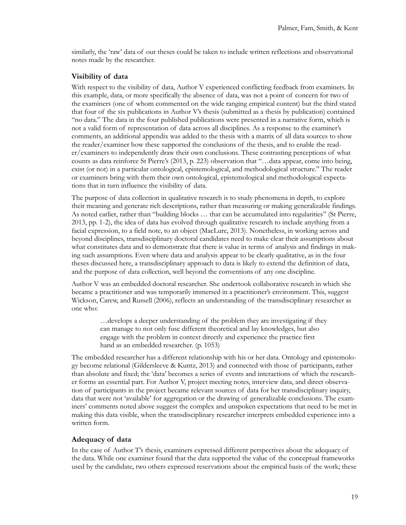similarly, the 'raw' data of our theses could be taken to include written reflections and observational notes made by the researcher.

#### **Visibility of data**

With respect to the visibility of data, Author V experienced conflicting feedback from examiners. In this example, data, or more specifically the absence of data, was not a point of concern for two of the examiners (one of whom commented on the wide ranging empirical content) but the third stated that four of the six publications in Author V's thesis (submitted as a thesis by publication) contained "no data." The data in the four published publications were presented in a narrative form, which is not a valid form of representation of data across all disciplines. As a response to the examiner's comments, an additional appendix was added to the thesis with a matrix of all data sources to show the reader/examiner how these supported the conclusions of the thesis, and to enable the reader/examiners to independently draw their own conclusions. These contrasting perceptions of what counts as data reinforce St Pierre's (2013, p. 223) observation that "…data appear, come into being, exist (or not) in a particular ontological, epistemological, and methodological structure." The reader or examiners bring with them their own ontological, epistemological and methodological expectations that in turn influence the visibility of data.

The purpose of data collection in qualitative research is to study phenomena in depth, to explore their meaning and generate rich descriptions, rather than measuring or making generalizable findings. As noted earlier, rather than "building blocks … that can be accumulated into regularities" (St Pierre, 2013, pp. 1-2), the idea of data has evolved through qualitative research to include anything from a facial expression, to a field note, to an object (MacLure, 2013). Nonetheless, in working across and beyond disciplines, transdisciplinary doctoral candidates need to make clear their assumptions about what constitutes data and to demonstrate that there is value in terms of analysis and findings in making such assumptions. Even where data and analysis appear to be clearly qualitative, as in the four theses discussed here, a transdisciplinary approach to data is likely to extend the definition of data, and the purpose of data collection, well beyond the conventions of any one discipline.

Author V was an embedded doctoral researcher. She undertook collaborative research in which she became a practitioner and was temporarily immersed in a practitioner's environment. This, suggest Wickson, Carew, and Russell (2006), reflects an understanding of the transdisciplinary researcher as one who:

…develops a deeper understanding of the problem they are investigating if they can manage to not only fuse different theoretical and lay knowledges, but also engage with the problem in context directly and experience the practice first hand as an embedded researcher. (p. 1053)

The embedded researcher has a different relationship with his or her data. Ontology and epistemology become relational (Gildersleeve & Kuntz, 2013) and connected with those of participants, rather than absolute and fixed; the 'data' becomes a series of events and interactions of which the researcher forms an essential part. For Author V, project meeting notes, interview data, and direct observation of participants in the project became relevant sources of data for her transdisciplinary inquiry, data that were not 'available' for aggregation or the drawing of generalizable conclusions. The examiners' comments noted above suggest the complex and unspoken expectations that need to be met in making this data visible, when the transdisciplinary researcher interprets embedded experience into a written form.

#### **Adequacy of data**

In the case of Author T's thesis, examiners expressed different perspectives about the adequacy of the data. While one examiner found that the data supported the value of the conceptual frameworks used by the candidate, two others expressed reservations about the empirical basis of the work; these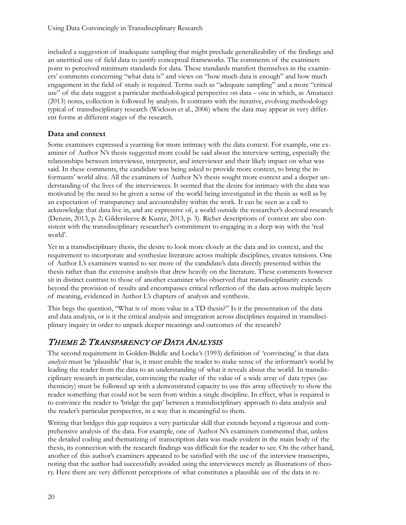included a suggestion of inadequate sampling that might preclude generalizability of the findings and an uncritical use of field data to justify conceptual frameworks. The comments of the examiners point to perceived minimum standards for data. These standards manifest themselves in the examiners' comments concerning "what data is" and views on "how much data is enough" and how much engagement in the field of study is required. Terms such as "adequate sampling" and a more "critical use" of the data suggest a particular methodological perspective on data – one in which, as Amatucci (2013) notes, collection is followed by analysis. It contrasts with the iterative, evolving methodology typical of transdisciplinary research (Wickson et al., 2006) where the data may appear in very different forms at different stages of the research.

#### **Data and context**

Some examiners expressed a yearning for more intimacy with the data context. For example, one examiner of Author N's thesis suggested more could be said about the interview setting, especially the relationships between interviewee, interpreter, and interviewer and their likely impact on what was said. In these comments, the candidate was being asked to provide more context, to bring the informants' world alive. All the examiners of Author N's thesis sought more context and a deeper understanding of the lives of the interviewees. It seemed that the desire for intimacy with the data was motivated by the need to be given a sense of the world being investigated in the thesis as well as by an expectation of transparency and accountability within the work. It can be seen as a call to acknowledge that data live in, and are expressive of, a world outside the researcher's doctoral research (Denzin, 2013, p. 2; Gildersleeve & Kuntz, 2013, p. 3). Richer descriptions of context are also consistent with the transdisciplinary researcher's commitment to engaging in a deep way with the 'real world'.

Yet in a transdisciplinary thesis, the desire to look more closely at the data and its context, and the requirement to incorporate and synthesize literature across multiple disciplines, creates tensions. One of Author L's examiners wanted to see more of the candidate's data directly presented within the thesis rather than the extensive analysis that drew heavily on the literature. These comments however sit in distinct contrast to those of another examiner who observed that transdisciplinarity extends beyond the provision of results and encompasses critical reflection of the data across multiple layers of meaning, evidenced in Author L's chapters of analysis and synthesis.

This begs the question, "What is of more value in a TD thesis?" Is it the presentation of the data and data analysis, or is it the critical analysis and integration across disciplines required in transdisciplinary inquiry in order to unpack deeper meanings and outcomes of the research?

# THEME 2: TRANSPARENCY OF DATA ANALYSIS

The second requirement in Golden-Biddle and Locke's (1993) definition of 'convincing' is that data *analysis* must be 'plausible' that is, it must enable the reader to make sense of the informant's world by leading the reader from the data to an understanding of what it reveals about the world. In transdisciplinary research in particular, convincing the reader of the value of a wide array of data types (authenticity) must be followed up with a demonstrated capacity to use this array effectively to show the reader something that could not be seen from within a single discipline. In effect, what is required is to convince the reader to 'bridge the gap' between a transdisciplinary approach to data analysis and the reader's particular perspective, in a way that is meaningful to them.

Writing that bridges this gap requires a very particular skill that extends beyond a rigorous and comprehensive analysis of the data. For example, one of Author N's examiners commented that, unless the detailed coding and thematizing of transcription data was made evident in the main body of the thesis, its connection with the research findings was difficult for the reader to see. On the other hand, another of this author's examiners appeared to be satisfied with the use of the interview transcripts, noting that the author had successfully avoided using the interviewees merely as illustrations of theory. Here there are very different perceptions of what constitutes a plausible use of the data in re-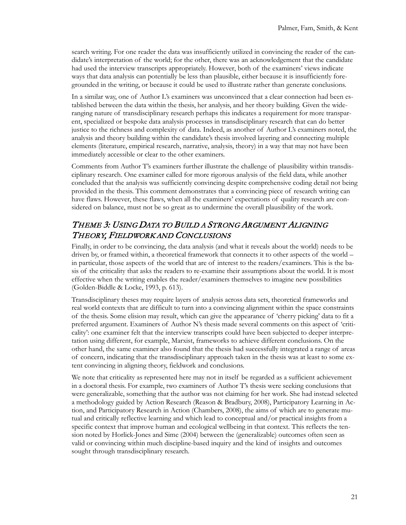search writing. For one reader the data was insufficiently utilized in convincing the reader of the candidate's interpretation of the world; for the other, there was an acknowledgement that the candidate had used the interview transcripts appropriately. However, both of the examiners' views indicate ways that data analysis can potentially be less than plausible, either because it is insufficiently foregrounded in the writing, or because it could be used to illustrate rather than generate conclusions.

In a similar way, one of Author L's examiners was unconvinced that a clear connection had been established between the data within the thesis, her analysis, and her theory building. Given the wideranging nature of transdisciplinary research perhaps this indicates a requirement for more transparent, specialized or bespoke data analysis processes in transdisciplinary research that can do better justice to the richness and complexity of data. Indeed, as another of Author L's examiners noted, the analysis and theory building within the candidate's thesis involved layering and connecting multiple elements (literature, empirical research, narrative, analysis, theory) in a way that may not have been immediately accessible or clear to the other examiners.

Comments from Author T's examiners further illustrate the challenge of plausibility within transdisciplinary research. One examiner called for more rigorous analysis of the field data, while another concluded that the analysis was sufficiently convincing despite comprehensive coding detail not being provided in the thesis. This comment demonstrates that a convincing piece of research writing can have flaws. However, these flaws, when all the examiners' expectations of quality research are considered on balance, must not be so great as to undermine the overall plausibility of the work.

### THEME 3: USING DATA TO BUILD A STRONG ARGUMENT ALIGNING THEORY, FIELDWORK AND CONCLUSIONS

Finally, in order to be convincing, the data analysis (and what it reveals about the world) needs to be driven by, or framed within, a theoretical framework that connects it to other aspects of the world – in particular, those aspects of the world that are of interest to the readers/examiners. This is the basis of the criticality that asks the readers to re-examine their assumptions about the world. It is most effective when the writing enables the reader/examiners themselves to imagine new possibilities (Golden-Biddle & Locke, 1993, p. 613).

Transdisciplinary theses may require layers of analysis across data sets, theoretical frameworks and real world contexts that are difficult to turn into a convincing alignment within the space constraints of the thesis. Some elision may result, which can give the appearance of 'cherry picking' data to fit a preferred argument. Examiners of Author N's thesis made several comments on this aspect of 'criticality': one examiner felt that the interview transcripts could have been subjected to deeper interpretation using different, for example, Marxist, frameworks to achieve different conclusions. On the other hand, the same examiner also found that the thesis had successfully integrated a range of areas of concern, indicating that the transdisciplinary approach taken in the thesis was at least to some extent convincing in aligning theory, fieldwork and conclusions.

We note that criticality as represented here may not in itself be regarded as a sufficient achievement in a doctoral thesis. For example, two examiners of Author T's thesis were seeking conclusions that were generalizable, something that the author was not claiming for her work. She had instead selected a methodology guided by Action Research (Reason & Bradbury, 2008), Participatory Learning in Action, and Participatory Research in Action (Chambers, 2008), the aims of which are to generate mutual and critically reflective learning and which lead to conceptual and/or practical insights from a specific context that improve human and ecological wellbeing in that context. This reflects the tension noted by Horlick-Jones and Sime (2004) between the (generalizable) outcomes often seen as valid or convincing within much discipline-based inquiry and the kind of insights and outcomes sought through transdisciplinary research.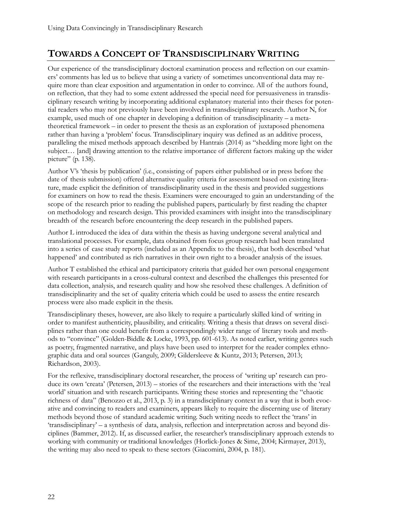# **TOWARDS A CONCEPT OF TRANSDISCIPLINARY WRITING**

Our experience of the transdisciplinary doctoral examination process and reflection on our examiners' comments has led us to believe that using a variety of sometimes unconventional data may require more than clear exposition and argumentation in order to convince. All of the authors found, on reflection, that they had to some extent addressed the special need for persuasiveness in transdisciplinary research writing by incorporating additional explanatory material into their theses for potential readers who may not previously have been involved in transdisciplinary research. Author N, for example, used much of one chapter in developing a definition of transdisciplinarity – a metatheoretical framework – in order to present the thesis as an exploration of juxtaposed phenomena rather than having a 'problem' focus. Transdisciplinary inquiry was defined as an additive process, paralleling the mixed methods approach described by Hantrais (2014) as "shedding more light on the subject… [and] drawing attention to the relative importance of different factors making up the wider picture" (p. 138).

Author V's 'thesis by publication' (i.e., consisting of papers either published or in press before the date of thesis submission) offered alternative quality criteria for assessment based on existing literature, made explicit the definition of transdisciplinarity used in the thesis and provided suggestions for examiners on how to read the thesis. Examiners were encouraged to gain an understanding of the scope of the research prior to reading the published papers, particularly by first reading the chapter on methodology and research design. This provided examiners with insight into the transdisciplinary breadth of the research before encountering the deep research in the published papers.

Author L introduced the idea of data within the thesis as having undergone several analytical and translational processes. For example, data obtained from focus group research had been translated into a series of case study reports (included as an Appendix to the thesis), that both described 'what happened' and contributed as rich narratives in their own right to a broader analysis of the issues.

Author T established the ethical and participatory criteria that guided her own personal engagement with research participants in a cross-cultural context and described the challenges this presented for data collection, analysis, and research quality and how she resolved these challenges. A definition of transdisciplinarity and the set of quality criteria which could be used to assess the entire research process were also made explicit in the thesis.

Transdisciplinary theses, however, are also likely to require a particularly skilled kind of writing in order to manifest authenticity, plausibility, and criticality. Writing a thesis that draws on several disciplines rather than one could benefit from a correspondingly wider range of literary tools and methods to "convince" (Golden-Biddle & Locke, 1993, pp. 601-613). As noted earlier, writing genres such as poetry, fragmented narrative, and plays have been used to interpret for the reader complex ethnographic data and oral sources (Ganguly, 2009; Gildersleeve & Kuntz, 2013; Petersen, 2013; Richardson, 2003).

For the reflexive, transdisciplinary doctoral researcher, the process of 'writing up' research can produce its own 'creata' (Petersen, 2013) – stories of the researchers and their interactions with the 'real world' situation and with research participants. Writing these stories and representing the "chaotic richness of data" (Benozzo et al., 2013, p. 3) in a transdisciplinary context in a way that is both evocative and convincing to readers and examiners, appears likely to require the discerning use of literary methods beyond those of standard academic writing. Such writing needs to reflect the 'trans' in 'transdisciplinary' – a synthesis of data, analysis, reflection and interpretation across and beyond disciplines (Bammer, 2012). If, as discussed earlier, the researcher's transdisciplinary approach extends to working with community or traditional knowledges (Horlick-Jones & Sime, 2004; Kirmayer, 2013), the writing may also need to speak to these sectors (Giacomini, 2004, p. 181).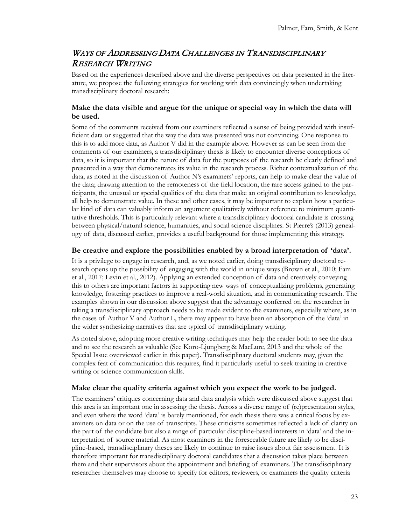### WAYS OF ADDRESSING DATA CHALLENGES IN TRANSDISCIPLINARY RESEARCH WRITING

Based on the experiences described above and the diverse perspectives on data presented in the literature, we propose the following strategies for working with data convincingly when undertaking transdisciplinary doctoral research:

#### **Make the data visible and argue for the unique or special way in which the data will be used.**

Some of the comments received from our examiners reflected a sense of being provided with insufficient data or suggested that the way the data was presented was not convincing. One response to this is to add more data, as Author V did in the example above. However as can be seen from the comments of our examiners, a transdisciplinary thesis is likely to encounter diverse conceptions of data, so it is important that the nature of data for the purposes of the research be clearly defined and presented in a way that demonstrates its value in the research process. Richer contextualization of the data, as noted in the discussion of Author N's examiners' reports, can help to make clear the value of the data; drawing attention to the remoteness of the field location, the rare access gained to the participants, the unusual or special qualities of the data that make an original contribution to knowledge, all help to demonstrate value. In these and other cases, it may be important to explain how a particular kind of data can valuably inform an argument qualitatively without reference to minimum quantitative thresholds. This is particularly relevant where a transdisciplinary doctoral candidate is crossing between physical/natural science, humanities, and social science disciplines. St Pierre's (2013) genealogy of data, discussed earlier, provides a useful background for those implementing this strategy.

#### **Be creative and explore the possibilities enabled by a broad interpretation of 'data'.**

It is a privilege to engage in research, and, as we noted earlier, doing transdisciplinary doctoral research opens up the possibility of engaging with the world in unique ways (Brown et al., 2010; Fam et al., 2017; Levin et al., 2012). Applying an extended conception of data and creatively conveying this to others are important factors in supporting new ways of conceptualizing problems, generating knowledge, fostering practices to improve a real-world situation, and in communicating research. The examples shown in our discussion above suggest that the advantage conferred on the researcher in taking a transdisciplinary approach needs to be made evident to the examiners, especially where, as in the cases of Author V and Author L, there may appear to have been an absorption of the 'data' in the wider synthesizing narratives that are typical of transdisciplinary writing.

As noted above, adopting more creative writing techniques may help the reader both to see the data and to see the research as valuable (See Koro-Ljungberg & MacLure, 2013 and the whole of the Special Issue overviewed earlier in this paper). Transdisciplinary doctoral students may, given the complex feat of communication this requires, find it particularly useful to seek training in creative writing or science communication skills.

#### **Make clear the quality criteria against which you expect the work to be judged.**

The examiners' critiques concerning data and data analysis which were discussed above suggest that this area is an important one in assessing the thesis. Across a diverse range of (re)presentation styles, and even where the word 'data' is barely mentioned, for each thesis there was a critical focus by examiners on data or on the use of transcripts. These criticisms sometimes reflected a lack of clarity on the part of the candidate but also a range of particular discipline-based interests in 'data' and the interpretation of source material. As most examiners in the foreseeable future are likely to be discipline-based, transdisciplinary theses are likely to continue to raise issues about fair assessment. It is therefore important for transdisciplinary doctoral candidates that a discussion takes place between them and their supervisors about the appointment and briefing of examiners. The transdisciplinary researcher themselves may choose to specify for editors, reviewers, or examiners the quality criteria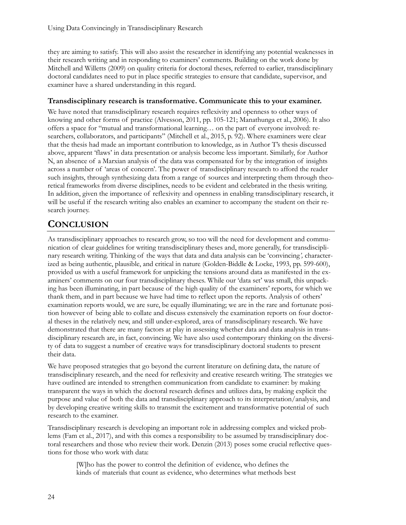they are aiming to satisfy. This will also assist the researcher in identifying any potential weaknesses in their research writing and in responding to examiners' comments. Building on the work done by Mitchell and Willetts (2009) on quality criteria for doctoral theses, referred to earlier, transdisciplinary doctoral candidates need to put in place specific strategies to ensure that candidate, supervisor, and examiner have a shared understanding in this regard.

#### **Transdisciplinary research is transformative. Communicate this to your examiner.**

We have noted that transdisciplinary research requires reflexivity and openness to other ways of knowing and other forms of practice (Alvesson, 2011, pp. 105-121; Manathunga et al., 2006). It also offers a space for "mutual and transformational learning… on the part of everyone involved: researchers, collaborators, and participants" (Mitchell et al., 2015, p. 92). Where examiners were clear that the thesis had made an important contribution to knowledge, as in Author T's thesis discussed above, apparent 'flaws' in data presentation or analysis become less important. Similarly, for Author N, an absence of a Marxian analysis of the data was compensated for by the integration of insights across a number of 'areas of concern'. The power of transdisciplinary research to afford the reader such insights, through synthesizing data from a range of sources and interpreting them through theoretical frameworks from diverse disciplines, needs to be evident and celebrated in the thesis writing. In addition, given the importance of reflexivity and openness in enabling transdisciplinary research, it will be useful if the research writing also enables an examiner to accompany the student on their research journey.

# **CONCLUSION**

As transdisciplinary approaches to research grow, so too will the need for development and communication of clear guidelines for writing transdisciplinary theses and, more generally, for transdisciplinary research writing. Thinking of the ways that data and data analysis can be 'convincing*',* characterized as being authentic, plausible, and critical in nature (Golden-Biddle & Locke, 1993, pp. 599-600), provided us with a useful framework for unpicking the tensions around data as manifested in the examiners' comments on our four transdisciplinary theses. While our 'data set' was small, this unpacking has been illuminating, in part because of the high quality of the examiners' reports, for which we thank them, and in part because we have had time to reflect upon the reports. Analysis of others' examination reports would, we are sure, be equally illuminating; we are in the rare and fortunate position however of being able to collate and discuss extensively the examination reports on four doctoral theses in the relatively new, and still under-explored, area of transdisciplinary research. We have demonstrated that there are many factors at play in assessing whether data and data analysis in transdisciplinary research are, in fact, convincing. We have also used contemporary thinking on the diversity of data to suggest a number of creative ways for transdisciplinary doctoral students to present their data.

We have proposed strategies that go beyond the current literature on defining data, the nature of transdisciplinary research, and the need for reflexivity and creative research writing. The strategies we have outlined are intended to strengthen communication from candidate to examiner: by making transparent the ways in which the doctoral research defines and utilizes data, by making explicit the purpose and value of both the data and transdisciplinary approach to its interpretation/analysis, and by developing creative writing skills to transmit the excitement and transformative potential of such research to the examiner.

Transdisciplinary research is developing an important role in addressing complex and wicked problems (Fam et al., 2017), and with this comes a responsibility to be assumed by transdisciplinary doctoral researchers and those who review their work. Denzin (2013) poses some crucial reflective questions for those who work with data:

[W]ho has the power to control the definition of evidence, who defines the kinds of materials that count as evidence, who determines what methods best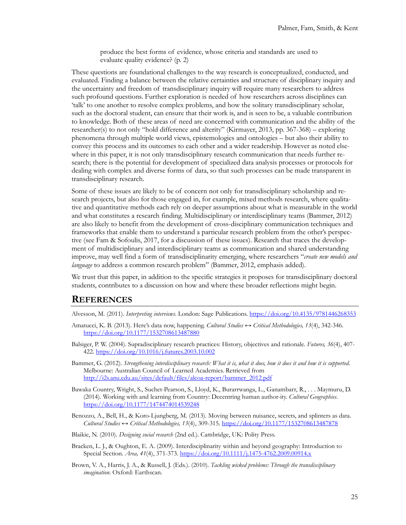produce the best forms of evidence, whose criteria and standards are used to evaluate quality evidence? (p. 2)

These questions are foundational challenges to the way research is conceptualized, conducted, and evaluated. Finding a balance between the relative certainties and structure of disciplinary inquiry and the uncertainty and freedom of transdisciplinary inquiry will require many researchers to address such profound questions. Further exploration is needed of how researchers across disciplines can 'talk' to one another to resolve complex problems, and how the solitary transdisciplinary scholar, such as the doctoral student, can ensure that their work is, and is seen to be, a valuable contribution to knowledge. Both of these areas of need are concerned with communication and the ability of the researcher(s) to not only "hold difference and alterity" (Kirmayer, 2013, pp. 367-368) – exploring phenomena through multiple world views, epistemologies and ontologies – but also their ability to convey this process and its outcomes to each other and a wider readership. However as noted elsewhere in this paper, it is not only transdisciplinary research communication that needs further research; there is the potential for development of specialized data analysis processes or protocols for dealing with complex and diverse forms of data, so that such processes can be made transparent in transdisciplinary research.

Some of these issues are likely to be of concern not only for transdisciplinary scholarship and research projects, but also for those engaged in, for example, mixed methods research, where qualitative and quantitative methods each rely on deeper assumptions about what is measurable in the world and what constitutes a research finding. Multidisciplinary or interdisciplinary teams (Bammer, 2012) are also likely to benefit from the development of cross-disciplinary communication techniques and frameworks that enable them to understand a particular research problem from the other's perspective (see Fam & Sofoulis, 2017, for a discussion of these issues). Research that traces the development of multidisciplinary and interdisciplinary teams as communication and shared understanding improve, may well find a form of transdisciplinarity emerging, where researchers "*create new models and language* to address a common research problem" (Bammer, 2012, emphasis added).

We trust that this paper, in addition to the specific strategies it proposes for transdisciplinary doctoral students, contributes to a discussion on how and where these broader reflections might begin.

#### **REFERENCES**

- Alvesson, M. (2011). *Interpreting interviews*. London: Sage Publications. <https://doi.org/10.4135/9781446268353>
- Amatucci, K. B. (2013). Here's data now, happening. *Cultural Studies ↔ Critical Methodologies, 13*(4), 342-346. <https://doi.org/10.1177/1532708613487880>
- Balsiger, P. W. (2004). Supradisciplinary research practices: History, objectives and rationale. *Futures, 36*(4), 407- 422[. https://doi.org/10.1016/j.futures.2003.10.002](https://doi.org/10.1016/j.futures.2003.10.002)
- Bammer, G. (2012). *Strengthening interdisciplinary research: What it is, what it does, how it does it and how it is supported*. Melbourne: Australian Council of Learned Academies. Retrieved from [http://i2s.anu.edu.au/sites/default/files/alcoa](http://i2s.anu.edu.au/sites/default/files/alcoa-report/bammer_2012.pdf)-report/bammer\_2012.pdf
- Bawaka Country, Wright, S., Suchet-Pearson, S., Lloyd, K., Burarrwanga, L., Ganambarr, R., . . . Maymuru, D. (2014). Working with and learning from Country: Decentring human author-ity. *Cultural Geographies*. <https://doi.org/10.1177/1474474014539248>
- Benozzo, A., Bell, H., & Koro-Ljungberg, M. (2013). Moving between nuisance, secrets, and splinters as data. *Cultural Studies ↔ Critical Methodologies, 13*(4), 309-315. <https://doi.org/10.1177/1532708613487878>
- Blaikie, N. (2010). *Designing social research* (2nd ed.). Cambridge, UK: Polity Press.
- Bracken, L. J., & Oughton, E. A. (2009). Interdisciplinarity within and beyond geography: Introduction to Special Section. *Area, 41*(4), 371-373[. https://doi.org/10.1111/j.1475](https://doi.org/10.1111/j.1475-4762.2009.00914.x)-4762.2009.00914.x
- Brown, V. A., Harris, J. A., & Russell, J. (Eds.). (2010). *Tackling wicked problems: Through the transdisciplinary imagination*. Oxford: Earthscan.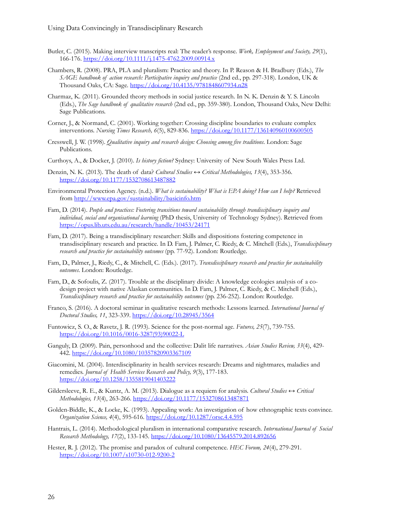- Butler, C. (2015). Making interview transcripts real: The reader's response. *Work, Employment and Society, 29*(1), 166-176. [https://doi.org/10.1111/j.1475](https://doi.org/10.1111/j.1475-4762.2009.00914.x)-4762.2009.00914.x
- Chambers, R. (2008). PRA, PLA and pluralism: Practice and theory. In P. Reason & H. Bradbury (Eds.), *The SAGE handbook of action research: Participative inquiry and practice* (2nd ed., pp. 297-318). London, UK & Thousand Oaks, CA: Sage. <https://doi.org/10.4135/9781848607934.n28>
- Charmaz, K. (2011). Grounded theory methods in social justice research. In N. K. Denzin & Y. S. Lincoln (Eds.), *The Sage handbook of qualitative research* (2nd ed., pp. 359-380). London, Thousand Oaks, New Delhi: Sage Publications.
- Corner, J., & Normand, C. (2001). Working together: Crossing discipline boundaries to evaluate complex interventions. *Nursing Times Research, 6*(5), 829-836.<https://doi.org/10.1177/136140960100600505>
- Cresswell, J. W. (1998). *Qualitative inquiry and research design: Choosing among five traditions*. London: Sage Publications.
- Curthoys, A., & Docker, J. (2010). *Is history fiction?* Sydney: University of New South Wales Press Ltd.
- Denzin, N. K. (2013). The death of data? *Cultural Studies ↔ Critical Methodologies, 13*(4), 353-356. <https://doi.org/10.1177/1532708613487882>
- Environmental Protection Agency. (n.d.). *What is sustainability? What is EPA doing? How can I help?* Retrieved from<http://www.epa.gov/sustainability/basicinfo.htm>
- Fam, D. (2014). *People and practices: Fostering transitions toward sustainability through trandisciplinary inquiry and individual, social and organisational learning* (PhD thesis, University of Technology Sydney). Retrieved from <https://opus.lib.uts.edu.au/research/handle/10453/24171>
- Fam, D. (2017). Being a transdisciplinary researcher: Skills and dispositions fostering competence in transdisciplinary research and practice. In D. Fam, J. Palmer, C. Riedy, & C. Mitchell (Eds.), *Transdisciplinary research and practice for sustainability outcomes* (pp. 77-92). London: Routledge.
- Fam, D., Palmer, J., Riedy, C., & Mitchell, C. (Eds.). (2017). *Transdisciplinary research and practice for sustainability outcomes*. London: Routledge.
- Fam, D., & Sofoulis, Z. (2017). Trouble at the disciplinary divide: A knowledge ecologies analysis of a codesign project with native Alaskan communities. In D. Fam, J. Palmer, C. Riedy, & C. Mitchell (Eds.), *Transdisciplinary research and practice for sustainability outcomes* (pp. 236-252). London: Routledge.
- Franco, S. (2016). A doctoral seminar in qualitative research methods: Lessons learned. *International Journal of Doctoral Studies, 11*, 323-339[. https://doi.org/10.28945/3564](https://doi.org/10.28945/3564)
- Funtowicz, S. O., & Ravetz, J. R. (1993). Science for the post-normal age. *Futures, 25*(7), 739-755. [https://doi.org/10.1016/0016](https://doi.org/10.1016/0016-3287(93)90022-L)-3287(93)90022-L
- Ganguly, D. (2009). Pain, personhood and the collective: Dalit life narratives. *Asian Studies Review, 33*(4), 429- 442[. https://doi.org/10.1080/10357820903367109](https://doi.org/10.1080/10357820903367109)
- Giacomini, M. (2004). Interdisciplinarity in health services research: Dreams and nightmares, maladies and remedies. *Journal of Health Services Research and Policy, 9*(3), 177-183. <https://doi.org/10.1258/1355819041403222>
- Gildersleeve, R. E., & Kuntz, A. M. (2013). Dialogue as a requiem for analysis. *Cultural Studies ↔ Critical Methodologies, 13*(4), 263-266. <https://doi.org/10.1177/1532708613487871>
- Golden-Biddle, K., & Locke, K. (1993). Appealing work: An investigation of how ethnographic texts convince. *Organization Science, 4*(4), 595-616.<https://doi.org/10.1287/orsc.4.4.595>
- Hantrais, L. (2014). Methodological pluralism in international comparative research. *International Journal of Social Research Methodology, 17*(2), 133-145.<https://doi.org/10.1080/13645579.2014.892656>
- Hester, R. J. (2012). The promise and paradox of cultural competence. *HEC Forum, 24*(4), 279-291. [https://doi.org/10.1007/s10730](https://doi.org/10.1007/s10730-012-9200-2)-012-9200-2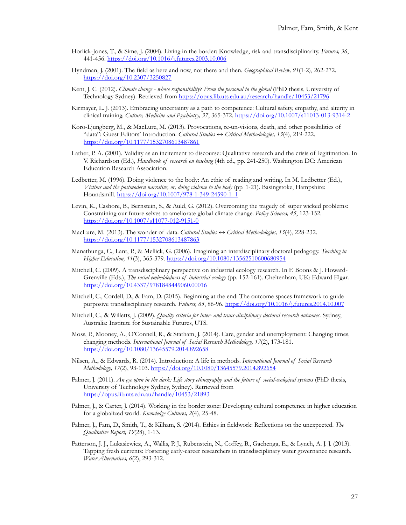- Horlick-Jones, T., & Sime, J. (2004). Living in the border: Knowledge, risk and transdisciplinarity. *Futures, 36*, 441-456.<https://doi.org/10.1016/j.futures.2003.10.006>
- Hyndman, J. (2001). The field as here and now, not there and then. *Geographical Review, 91*(1-2), 262-272. <https://doi.org/10.2307/3250827>
- Kent, J. C. (2012). *Climate change - whose responsibility? From the personal to the global* (PhD thesis, University of Technology Sydney). Retrieved from<https://opus.lib.uts.edu.au/research/handle/10453/21796>
- Kirmayer, L. J. (2013). Embracing uncertainty as a path to competence: Cultural safety, empathy, and alterity in clinical training. *Culture, Medicine and Psychiatry, 37*, 365-372[. https://doi.org/10.1007/s11013](https://doi.org/10.1007/s11013-013-9314-2)-013-9314-2
- Koro-Ljungberg, M., & MacLure, M. (2013). Provocations, re-un-visions, death, and other possibilities of "data": Guest Editors' Introduction. *Cultural Studies ↔ Critical Methodologies, 13*(4), 219-222. <https://doi.org/10.1177/1532708613487861>
- Lather, P. A. (2001). Validity as an incitement to discourse: Qualitative research and the crisis of legitimation. In V. Richardson (Ed.), *Handbook of research on teaching* (4th ed., pp. 241-250). Washington DC: American Education Research Association.
- Ledbetter, M. (1996). Doing violence to the body: An ethic of reading and writing. In M. Ledbetter (Ed.), *Victims and the postmodern narrative, or, doing violence to the body* (pp. 1-21). Basingstoke, Hampshire: Houndsmill. [https://doi.org/10.1007/978](https://doi.org/10.1007/978-1-349-24590-1_1)-1-349-24590-1\_1
- Levin, K., Cashore, B., Bernstein, S., & Auld, G. (2012). Overcoming the tragedy of super wicked problems: Constraining our future selves to ameliorate global climate change. *Policy Sciences, 45*, 123-152. [https://doi.org/10.1007/s11077](https://doi.org/10.1007/s11077-012-9151-0)-012-9151-0
- MacLure, M. (2013). The wonder of data. *Cultural Studies ↔ Critical Methodologies, 13*(4), 228-232. <https://doi.org/10.1177/1532708613487863>
- Manathunga, C., Lant, P., & Mellick, G. (2006). Imagining an interdisciplinary doctoral pedagogy. *Teaching in Higher Education, 11*(3), 365-379[. https://doi.org/10.1080/13562510600680954](https://doi.org/10.1080/13562510600680954)
- Mitchell, C. (2009). A transdisciplinary perspective on industrial ecology research. In F. Boons & J. Howard-Grenville (Eds.), *The social embeddedness of industrial ecology* (pp. 152-161). Cheltenham, UK: Edward Elgar. <https://doi.org/10.4337/9781848449060.00016>
- Mitchell, C., Cordell, D., & Fam, D. (2015). Beginning at the end: The outcome spaces framework to guide purposive transdisciplinary research. *Futures, 65*, 86-96. <https://doi.org/10.1016/j.futures.2014.10.007>
- Mitchell, C., & Willetts, J. (2009). *Quality criteria for inter- and trans-disciplinary doctoral research outcomes*. Sydney, Australia: Institute for Sustainable Futures, UTS.
- Moss, P., Mooney, A., O'Connell, R., & Statham, J. (2014). Care, gender and unemployment: Changing times, changing methods. *International Journal of Social Research Methodology, 17*(2), 173-181. <https://doi.org/10.1080/13645579.2014.892658>
- Nilsen, A., & Edwards, R. (2014). Introduction: A life in methods. *International Journal of Social Research Methodology, 17*(2), 93-103[. https://doi.org/10.1080/13645579.2014.892654](https://doi.org/10.1080/13645579.2014.892654)
- Palmer, J. (2011). *An eye open in the dark: Life story ethnography and the future of social-ecological systems* (PhD thesis, University of Technology Sydney, Sydney). Retrieved from <https://opus.lib.uts.edu.au/handle/10453/21893>
- Palmer, J., & Carter, J. (2014). Working in the border zone: Developing cultural competence in higher education for a globalized world. *Knowledge Cultures, 2*(4), 25-48.
- Palmer, J., Fam, D., Smith, T., & Kilham, S. (2014). Ethics in fieldwork: Reflections on the unexpected. *The Qualitative Report, 19*(28), 1-13.
- Patterson, J. J., Lukasiewicz, A., Wallis, P. J., Rubenstein, N., Coffey, B., Gachenga, E., & Lynch, A. J. J. (2013). Tapping fresh currents: Fostering early-career researchers in transdisciplinary water governance research. *Water Alternatives, 6*(2), 293-312.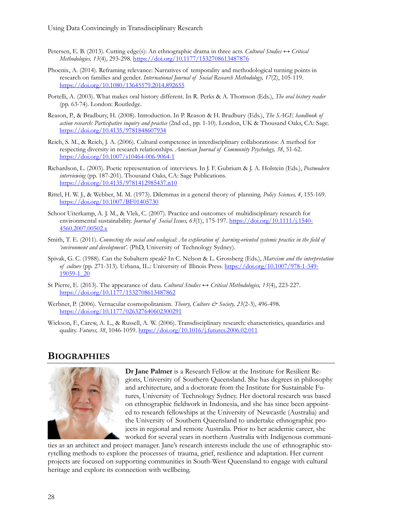- Petersen, E. B. (2013). Cutting edge(s): An ethnographic drama in three acts. *Cultural Studies ↔ Critical Methodologies, 13*(4), 293-298. <https://doi.org/10.1177/1532708613487876>
- Phoenix, A. (2014). Reframing relevance: Narratives of temporality and methodological turning points in research on families and gender. *International Journal of Social Research Methodology, 17*(2), 105-119. <https://doi.org/10.1080/13645579.2014.892655>
- Portelli, A. (2003). What makes oral history different. In R. Perks & A. Thomson (Eds.), *The oral history reader* (pp. 63-74). London: Routledge.
- Reason, P., & Bradbury, H. (2008). Introduction. In P. Reason & H. Bradbury (Eds.), *The SAGE handbook of action research: Participative inquiry and practice* (2nd ed., pp. 1-10). London, UK & Thousand Oaks, CA: Sage. <https://doi.org/10.4135/9781848607934>
- Reich, S. M., & Reich, J. A. (2006). Cultural competence in interdisciplinary collaborations: A method for respecting diversity in research relationships. *American Journal of Community Psychology, 38*, 51-62. [https://doi.org/10.1007/s10464](https://doi.org/10.1007/s10464-006-9064-1)-006-9064-1
- Richardson, L. (2003). Poetic representation of interviews. In J. F. Gubrium & J. A. Holstein (Eds.), *Postmodern interviewing* (pp. 187-201). Thousand Oaks, CA: Sage Publications. <https://doi.org/10.4135/9781412985437.n10>
- Rittel, H. W. J., & Webber, M. M. (1973). Dilemmas in a general theory of planning. *Policy Sciences, 4*, 155-169. <https://doi.org/10.1007/BF01405730>
- Schoot Uiterkamp, A. J. M., & Vlek, C. (2007). Practice and outcomes of multidisciplinary research for environmental sustainability. *Journal of Social Issues, 63*(1), 175-197. [https://doi.org/10.1111/j.1540](https://doi.org/10.1111/j.1540-4560.2007.00502.x)-[4560.2007.00502.x](https://doi.org/10.1111/j.1540-4560.2007.00502.x)
- Smith, T. E. (2011). *Connecting the social and ecological: An exploration of learning-oriented systemic practice in the field of 'environment and development'.* (PhD, University of Technology Sydney).
- Spivak, G. C. (1988). Can the Subaltern speak? In C. Nelson & L. Grossberg (Eds.), *Marxism and the interpretation of culture* (pp. 271-313). Urbana, IL.: University of Illinois Press. [https://doi.org/10.1007/978](https://doi.org/10.1007/978-1-349-19059-1_20)-1-349- [19059](https://doi.org/10.1007/978-1-349-19059-1_20)-1\_20
- St Pierre, E. (2013). The appearance of data. *Cultural Studies ↔ Critical Methodologies, 13*(4), 223-227. <https://doi.org/10.1177/1532708613487862>
- Werbner, P. (2006). Vernacular cosmopolitanism. *Theory, Culture & Society, 23*(2-3), 496-498. <https://doi.org/10.1177/026327640602300291>
- Wickson, F., Carew, A. L., & Russell, A. W. (2006). Transdisciplinary research: characteristics, quandaries and quality. *Futures, 38*, 1046-1059.<https://doi.org/10.1016/j.futures.2006.02.011>

### **BIOGRAPHIES**



**Dr Jane Palmer** is a Research Fellow at the Institute for Resilient Regions, University of Southern Queensland. She has degrees in philosophy and architecture, and a doctorate from the Institute for Sustainable Futures, University of Technology Sydney. Her doctoral research was based on ethnographic fieldwork in Indonesia, and she has since been appointed to research fellowships at the University of Newcastle (Australia) and the University of Southern Queensland to undertake ethnographic projects in regional and remote Australia. Prior to her academic career, she worked for several years in northern Australia with Indigenous communi-

ties as an architect and project manager. Jane's research interests include the use of ethnographic storytelling methods to explore the processes of trauma, grief, resilience and adaptation. Her current projects are focused on supporting communities in South-West Queensland to engage with cultural heritage and explore its connection with wellbeing.